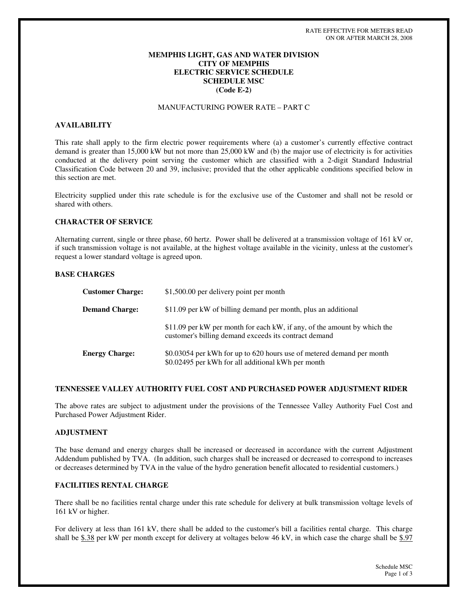## **MEMPHIS LIGHT, GAS AND WATER DIVISION CITY OF MEMPHIS ELECTRIC SERVICE SCHEDULE SCHEDULE MSC (Code E-2)**

# MANUFACTURING POWER RATE – PART C

### **AVAILABILITY**

This rate shall apply to the firm electric power requirements where (a) a customer's currently effective contract demand is greater than 15,000 kW but not more than 25,000 kW and (b) the major use of electricity is for activities conducted at the delivery point serving the customer which are classified with a 2-digit Standard Industrial Classification Code between 20 and 39, inclusive; provided that the other applicable conditions specified below in this section are met.

Electricity supplied under this rate schedule is for the exclusive use of the Customer and shall not be resold or shared with others.

### **CHARACTER OF SERVICE**

Alternating current, single or three phase, 60 hertz. Power shall be delivered at a transmission voltage of 161 kV or, if such transmission voltage is not available, at the highest voltage available in the vicinity, unless at the customer's request a lower standard voltage is agreed upon.

### **BASE CHARGES**

| <b>Customer Charge:</b> | \$1,500.00 per delivery point per month                                                                                           |
|-------------------------|-----------------------------------------------------------------------------------------------------------------------------------|
| <b>Demand Charge:</b>   | \$11.09 per kW of billing demand per month, plus an additional                                                                    |
|                         | \$11.09 per kW per month for each kW, if any, of the amount by which the<br>customer's billing demand exceeds its contract demand |
| <b>Energy Charge:</b>   | \$0.03054 per kWh for up to 620 hours use of metered demand per month<br>\$0.02495 per kWh for all additional kWh per month       |

### **TENNESSEE VALLEY AUTHORITY FUEL COST AND PURCHASED POWER ADJUSTMENT RIDER**

The above rates are subject to adjustment under the provisions of the Tennessee Valley Authority Fuel Cost and Purchased Power Adjustment Rider.

### **ADJUSTMENT**

The base demand and energy charges shall be increased or decreased in accordance with the current Adjustment Addendum published by TVA. (In addition, such charges shall be increased or decreased to correspond to increases or decreases determined by TVA in the value of the hydro generation benefit allocated to residential customers.)

### **FACILITIES RENTAL CHARGE**

There shall be no facilities rental charge under this rate schedule for delivery at bulk transmission voltage levels of 161 kV or higher.

For delivery at less than 161 kV, there shall be added to the customer's bill a facilities rental charge. This charge shall be  $$.38$  per kW per month except for delivery at voltages below 46 kV, in which case the charge shall be  $$.97$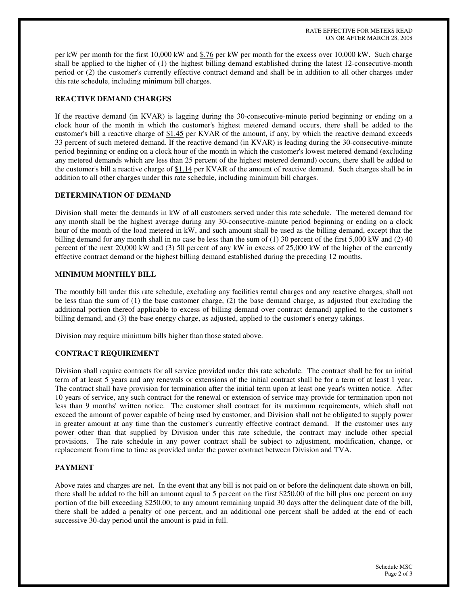RATE EFFECTIVE FOR METERS READ ON OR AFTER MARCH 28, 2008

per kW per month for the first 10,000 kW and \$.76 per kW per month for the excess over 10,000 kW. Such charge shall be applied to the higher of (1) the highest billing demand established during the latest 12-consecutive-month period or (2) the customer's currently effective contract demand and shall be in addition to all other charges under this rate schedule, including minimum bill charges.

## **REACTIVE DEMAND CHARGES**

If the reactive demand (in KVAR) is lagging during the 30-consecutive-minute period beginning or ending on a clock hour of the month in which the customer's highest metered demand occurs, there shall be added to the customer's bill a reactive charge of \$1.45 per KVAR of the amount, if any, by which the reactive demand exceeds 33 percent of such metered demand. If the reactive demand (in KVAR) is leading during the 30-consecutive-minute period beginning or ending on a clock hour of the month in which the customer's lowest metered demand (excluding any metered demands which are less than 25 percent of the highest metered demand) occurs, there shall be added to the customer's bill a reactive charge of \$1.14 per KVAR of the amount of reactive demand. Such charges shall be in addition to all other charges under this rate schedule, including minimum bill charges.

## **DETERMINATION OF DEMAND**

Division shall meter the demands in kW of all customers served under this rate schedule. The metered demand for any month shall be the highest average during any 30-consecutive-minute period beginning or ending on a clock hour of the month of the load metered in kW, and such amount shall be used as the billing demand, except that the billing demand for any month shall in no case be less than the sum of (1) 30 percent of the first 5,000 kW and (2) 40 percent of the next 20,000 kW and (3) 50 percent of any kW in excess of 25,000 kW of the higher of the currently effective contract demand or the highest billing demand established during the preceding 12 months.

### **MINIMUM MONTHLY BILL**

The monthly bill under this rate schedule, excluding any facilities rental charges and any reactive charges, shall not be less than the sum of (1) the base customer charge, (2) the base demand charge, as adjusted (but excluding the additional portion thereof applicable to excess of billing demand over contract demand) applied to the customer's billing demand, and (3) the base energy charge, as adjusted, applied to the customer's energy takings.

Division may require minimum bills higher than those stated above.

# **CONTRACT REQUIREMENT**

Division shall require contracts for all service provided under this rate schedule. The contract shall be for an initial term of at least 5 years and any renewals or extensions of the initial contract shall be for a term of at least 1 year. The contract shall have provision for termination after the initial term upon at least one year's written notice. After 10 years of service, any such contract for the renewal or extension of service may provide for termination upon not less than 9 months'written notice. The customer shall contract for its maximum requirements, which shall not exceed the amount of power capable of being used by customer, and Division shall not be obligated to supply power in greater amount at any time than the customer's currently effective contract demand. If the customer uses any power other than that supplied by Division under this rate schedule, the contract may include other special provisions. The rate schedule in any power contract shall be subject to adjustment, modification, change, or replacement from time to time as provided under the power contract between Division and TVA.

### **PAYMENT**

Above rates and charges are net. In the event that any bill is not paid on or before the delinquent date shown on bill, there shall be added to the bill an amount equal to 5 percent on the first \$250.00 of the bill plus one percent on any portion of the bill exceeding \$250.00; to any amount remaining unpaid 30 days after the delinquent date of the bill, there shall be added a penalty of one percent, and an additional one percent shall be added at the end of each successive 30-day period until the amount is paid in full.